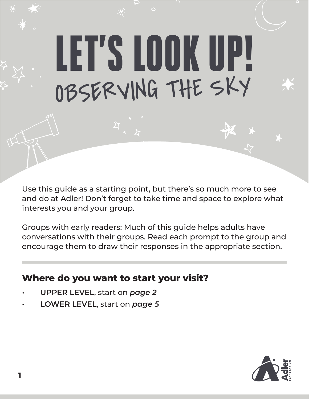# LET'S LOOK UP! OBSERVING THE SKY

 $\circ$ 

Use this guide as a starting point, but there's so much more to see and do at Adler! Don't forget to take time and space to explore what interests you and your group.

Groups with early readers: Much of this guide helps adults have conversations with their groups. Read each prompt to the group and encourage them to draw their responses in the appropriate section.

### **Where do you want to start your visit?**

- **UPPER LEVEL**, start on *page 2*
- **LOWER LEVEL**, start on *page 5*

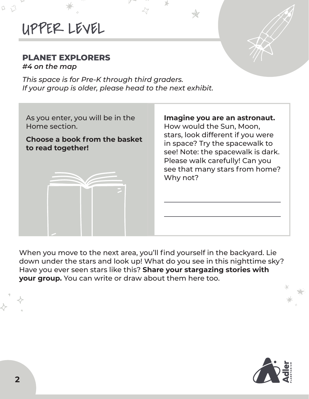# UPPER LEVEL

#### **PLANET EXPLORERS**

*#4 on the map*

D

*This space is for Pre-K through third graders. If your group is older, please head to the next exhibit.*



When you move to the next area, you'll find yourself in the backyard. Lie down under the stars and look up! What do you see in this nighttime sky? Have you ever seen stars like this? **Share your stargazing stories with your group.** You can write or draw about them here too.

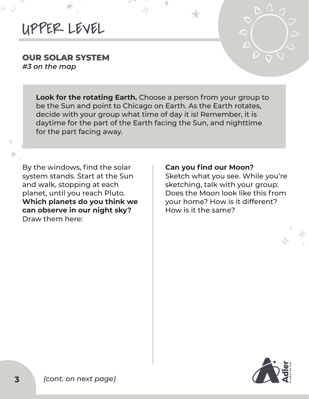## UPPER LEVEL

## **OUR SOLAR SYSTEM**

*#3 on the map*

D

 $\ast$ 

**Look for the rotating Earth.** Choose a person from your group to be the Sun and point to Chicago on Earth. As the Earth rotates, decide with your group what time of day it is! Remember, it is daytime for the part of the Earth facing the Sun, and nighttime for the part facing away.

By the windows, find the solar system stands. Start at the Sun and walk, stopping at each planet, until you reach Pluto. **Which planets do you think we can observe in our night sky?**  Draw them here:

#### **Can you find our Moon?**

Sketch what you see. While you're sketching, talk with your group: Does the Moon look like this from your home? How is it different? How is it the same?

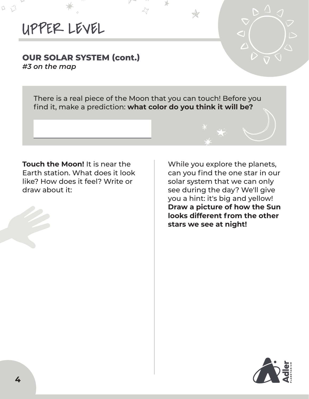## UPPER LEVEL

口乙

#### **OUR SOLAR SYSTEM (cont.)** *#3 on the map*

There is a real piece of the Moon that you can touch! Before you find it, make a prediction: **what color do you think it will be?**

⊁

**Touch the Moon!** It is near the Earth station. What does it look like? How does it feel? Write or draw about it:



While you explore the planets, can you find the one star in our solar system that we can only see during the day? We'll give you a hint: it's big and yellow! **Draw a picture of how the Sun looks different from the other stars we see at night!**

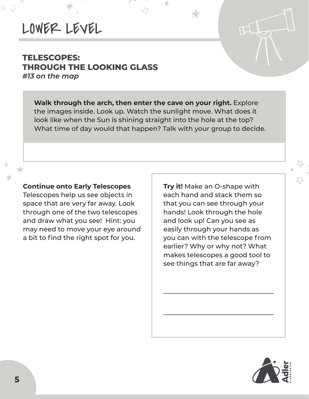## LOWER LEVEL

口乙

#### **TELESCOPES: THROUGH THE LOOKING GLASS** *#13 on the map*

**Walk through the arch, then enter the cave on your right.** Explore the images inside. Look up. Watch the sunlight move. What does it look like when the Sun is shining straight into the hole at the top? What time of day would that happen? Talk with your group to decide.

#### **Continue onto Early Telescopes**

Telescopes help us see objects in space that are very far away. Look through one of the two telescopes and draw what you see! Hint: you may need to move your eye around a bit to find the right spot for you.

**Try it!** Make an O-shape with each hand and stack them so that you can see through your hands! Look through the hole and look up! Can you see as easily through your hands as you can with the telescope from earlier? Why or why not? What makes telescopes a good tool to see things that are far away?

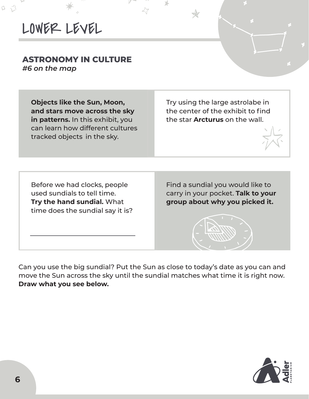LOWER LEVEL

#### **ASTRONOMY IN CULTURE**  *#6 on the map*

 $\mathbb{Z}$ 

**Objects like the Sun, Moon, and stars move across the sky in patterns.** In this exhibit, you can learn how different cultures tracked objects in the sky.

Try using the large astrolabe in the center of the exhibit to find the star **Arcturus** on the wall.

Before we had clocks, people used sundials to tell time. **Try the hand sundial.** What time does the sundial say it is?

Find a sundial you would like to carry in your pocket. **Talk to your group about why you picked it.** 



**Draw what you see below.**